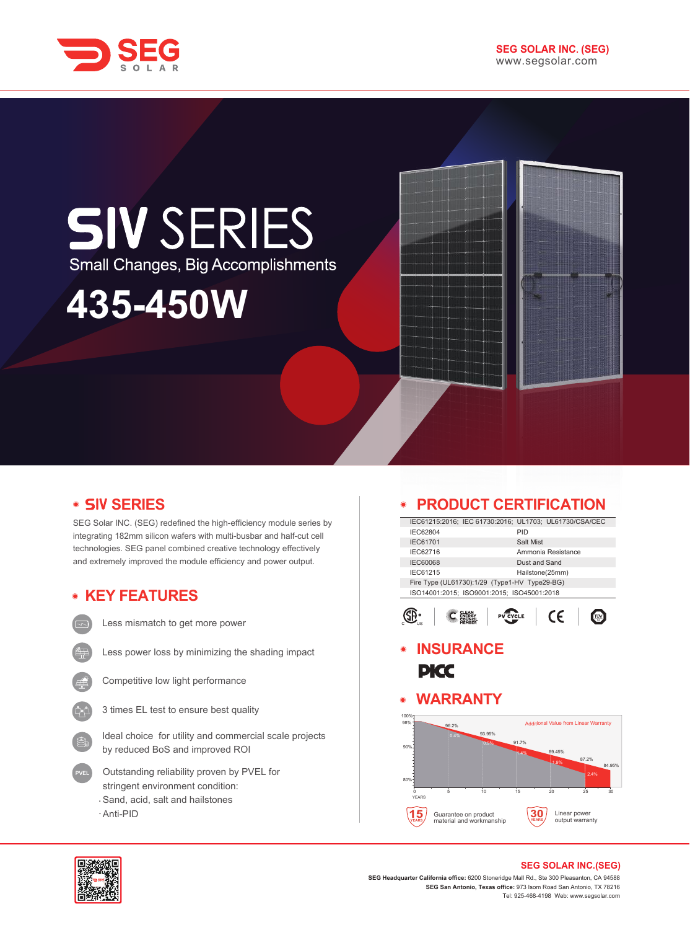

## **SIV SERIES** Small Changes, Big Accomplishments

# **435-450W**

## **• SIV SERIES**

SEG Solar INC. (SEG) redefined the high-efficiency module series by integrating 182mm silicon wafers with multi-busbar and half-cut cell technologies. SEG panel combined creative technology effectively and extremely improved the module efficiency and power output.

## **KEY FEATURES**

Less mismatch to get more power

- Less power loss by minimizing the shading impact
- 
- Competitive low light performance
- 3 times EL test to ensure best quality
- Ideal choice for utility and commercial scale projects by reduced BoS and improved ROI
- Outstanding reliability proven by PVEL for stringent environment condition: Sand, acid, salt and hailstones
- Anti-PID

## **PRODUCT CERTIFICATION**

|                                               |  |               | IEC61215:2016; IEC 61730:2016; UL1703; UL61730/CSA/CEC |  |
|-----------------------------------------------|--|---------------|--------------------------------------------------------|--|
| IEC62804                                      |  | PID           |                                                        |  |
| <b>IEC61701</b>                               |  | Salt Mist     |                                                        |  |
| IEC62716                                      |  |               | Ammonia Resistance                                     |  |
| <b>IEC60068</b>                               |  | Dust and Sand |                                                        |  |
| IEC61215<br>Hailstone(25mm)                   |  |               |                                                        |  |
| Fire Type (UL61730):1/29 (Type1-HV Type29-BG) |  |               |                                                        |  |
| ISO14001:2015: ISO9001:2015: ISO45001:2018    |  |               |                                                        |  |



## **INSURANCE PICC**

## **WARRANTY**





#### **SEG SOLAR INC.(SEG)**

**SEG Headquarter California office:** 6200 Stoneridge Mall Rd., Ste 300 Pleasanton, CA 94588 **SEG San Antonio, Texas office:** 973 Isom Road San Antonio, TX 78216 Tel: 925-468-4198 Web: www.segsolar.com